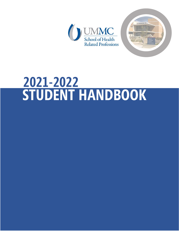



# **STUDENT HANDBOOK 2021-2022**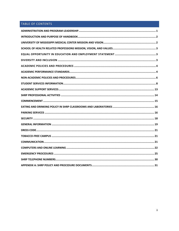# TABLE OF CONTENTS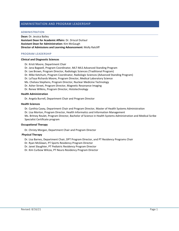#### <span id="page-2-0"></span>ADMINISTRATION AND PROGRAM LEADERSHIP

#### ADMINISTRATION

**Dean:** Dr. Jessica Bailey **Assistant Dean for Academic Affairs**: Dr. Driscol DuVaul **Assistant Dean for Administration:** Kim McGaugh **Director of Admissions and Learning Advancement:** Molly Ratcliff

#### PROGRAM LEADERSHIP

#### **Clinical and Diagnostic Sciences**

Dr. Kristi Moore, Department Chair

Dr. Jana Bagwell, Program Coordinator, MLT-MLS Advanced Standing Program

- Dr. Lee Brown, Program Director, Radiologic Sciences (Traditional Program)
- Dr. Mike Ketchum, Program Coordinator, Radiologic Sciences (Advanced Standing Program)
- Dr. LaToya Richards Moore, Program Director, Medical Laboratory Science
- Ms. Chelsea Stephens, Program Director, Nuclear Medicine Technology
- Dr. Asher Street, Program Director, Magnetic Resonance Imaging
- Dr. Renee Wilkins, Program Director, Histotechnology

#### **Health Administration**

Dr. Angela Burrell, Department Chair and Program Director

#### **Health Sciences**

Dr. Cynthia Casey, Department Chair and Program Director, Master of Health Systems Administration Dr. Lisa Morton, Program Director, Health Informatics and Information Management Ms. Britney Reulet, Program Director, Bachelor of Science in Health Systems Administration and Medical Scribe

# Specialist Certificate program

#### **Occupational Therapy**

Dr. Christy Morgan, Department Chair and Program Director

#### **Physical Therapy**

Dr. Lisa Barnes, Department Chair, DPT Program Director, and PT Residency Programs Chair

- Dr. Ryan McGlawn, PT Sports Residency Program Director
- Dr. Janet Slaughter, PT Pediatric Residency Program Director

Dr. Kim Curbow Wilcox, PT Neuro Residency Program Director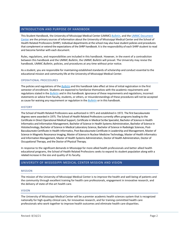#### <span id="page-3-0"></span>INTRODUCTION AND PURPOSE OF HANDBOOK

This Student Handbook, the University of Mississippi Medical Center (UMMC) *[Bulletin](http://www.umc.edu/bulletin)*, and the [UMMC Document](https://documents.umc.edu/)  [Center](https://documents.umc.edu/) are the primary sources of information about the University of Mississippi Medical Center and the School of Health Related Professions (SHRP). Individual departments at the school may also have student policies and procedures that complement or extend the expectations of the SHRP handbook. It is the responsibility of each SHRP student to read and become familiar with each document.

Rules, regulations, and responsibilities are included in this handbook. However, in the event of a contradiction between this handbook and the UMMC *Bulletin*, the UMMC *Bulletin* will prevail. The University may revise the handbook, UMMC *Bulletin*, policies, and procedures at any time without prior notice.

As a student, you are responsible for maintaining established standards of scholarship and conduct essential to the educational mission and community life at the University of Mississippi Medical Center.

#### OPERATIONAL PROCEDURES

The policies and regulations of the *[Bulletin](http://www.umc.edu/bulletin)* and this handbook take effect at time of initial registration in the first semester of enrollment. Students are expected to familiarize themselves with the academic requirements and regulationsstated in the *[Bulletin](http://www.umc.edu/bulletin)* and in this handbook. Ignorance of these requirements and regulations, incorrect statements or advice from faculty, students, or others, or misunderstandings of these procedures will not be accepted as cause for waiving any requirement or regulation in the *[Bulletin](http://www.umc.edu/bulletin)* or in this handbook.

#### **HISTORY**

The School of Health Related Professions was authorized in 1971 and established in 1972. The first baccalaureate degrees were awarded in 1975. The School of Health Related Professions currently offers programs leading to the Certificate in Direct Operational Medical Support, Certificate in Medical Scribe Specialist, Bachelor of Science in Health Informatics and Information Management, Bachelor of Science in Health Systems Administration, Bachelor of Science in Histotechnology, Bachelor of Science in Medical Laboratory Science, Bachelor of Science in Radiologic Sciences, Post-Baccalaureate Certificate in Health Informatics, Post-Baccalaureate Certificate in Leadership and Management, Master of Science in Magnetic Resonance Imaging, Master of Science in Nuclear Medicine Technology, Master of Health Informatics and Information Management, Master of Health Systems Administration, Doctor of Health Administration, Doctor of Occupational Therapy, and the Doctor of Physical Therapy.

In response to the significant demands in Mississippi for more allied health professionals and better allied health educational programs, the School of Health Related Professions seeks to expand its student population along with a related increase in the size and quality of its faculty.

#### <span id="page-3-1"></span>UNIVERSITY OF MISSISSIPPI MEDICAL CENTER MISSION AND VISION

#### MISSION

The mission of the University of Mississippi Medical Center is to improve the health and well-being of patients and the community through excellent training for health care professionals, engagement in innovative research, and the delivery of state-of-the-art health care.

#### VISION

The University of Mississippi Medical Center will be a premier academic health sciences system that is recognized nationally for high-quality clinical care, for innovative research, and for training committed health care professionals who work together to improve health outcomes and eliminate health care disparities.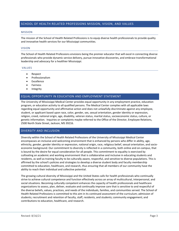#### <span id="page-4-0"></span>MISSION

The mission of the School of Health Related Professions is to equip diverse health professionals to provide quality and innovative health services for our Mississippi communities.

#### VISION

The School of Health Related Professions envisions being the premier educator that will excel in connecting diverse professionals who provide dynamic service delivery, pursue innovative discoveries, and embrace transformational leadership and advocacy for a healthier Mississippi.

#### VALUES

- Respect
- Professionalism
- Excellence
- **Fairness**
- Integrity

#### <span id="page-4-1"></span>EQUAL OPPORTUNITY IN EDUCATION AND EMPLOYMENT STATEMENT

The University of Mississippi Medical Center provides equal opportunity in any employment practice, education program, or education activity to all qualified persons. The Medical Center complies with all applicable laws regarding equal opportunity and affirmative action and does not unlawfully discriminate against any employee, student, or applicant based upon race, color, gender, sex, sexual orientation, gender identity or expression, religion, creed, national origin, age, disability, veteran status, marital status, socioeconomic status, culture, or genetic information. Inquiries or complaints maybe referred to the Office of the Director, Employee Relations, 2500 North State Street, Jackson, MS 39216.

#### <span id="page-4-2"></span>DIVERSITY AND INCLUSION

Diversity within the School of Health Related Professions of the University of Mississippi Medical Center encompasses an inclusive and welcoming environment that is enhanced by persons who differ in ability, age, ethnicity, gender, gender identity or expression, national origin, race, religious belief, sexual orientation, and socioeconomic background. Our commitment to diversity is reflected in a community, both online and on-campus, that is bound by the desire for equal consideration for all people. This commitment to equality is exercised by cultivating an academic and working environment that is collaborative and inclusive in educating students and residents, as well as training faculty to be culturally aware, respectful, and sensitive to diverse populations. This is affirmed by the school's policies and strategies to develop a diverse student body and faculty membership committed to education, healthcare, and research, thus ensuring that all members of our community have the ability to reach their individual and collective potential.

The growing cultural diversity of Mississippi and the United States calls for health professionals who continually strive to achieve cultural competence and function effectively across an array of multicultural, interpersonal, and social situations. Becoming culturally competent enhances the capacity of health professionals and healthcare organizations to assess, plan, deliver, evaluate and continually improve care that is sensitive to and respectful of the diverse beliefs, values, practices, and needs of the individuals, families, and communities served. The School of Health Related Professions is committed to this aim in its continued assessment of the curriculum; admission of students; recruitment and retention of faculty, staff, residents, and students; community engagement; and contributions to education, healthcare, and research.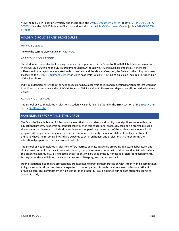View the full SHRP Policy on Diversity and Inclusion in th[e UMMC Document Center](https://documents.umc.edu/) (policy [E-SHRP-GEN-GEN-PO-](http://www.umc.edu/policy/viewpolicy.aspx?pid=E-SHRP-GEN-GEN-PO-00005)[00005\)](http://www.umc.edu/policy/viewpolicy.aspx?pid=E-SHRP-GEN-GEN-PO-00005). View the UMMC Policy on Diversity and Inclusion in the [UMMC Document Center](https://documents.umc.edu/) (polic[y A-IP-ODI-GEN-](https://www.umc.edu/policy/viewpolicy.aspx?pid=A-IP-ODI-GEN-PO-00001)[PO-00001\)](https://www.umc.edu/policy/viewpolicy.aspx?pid=A-IP-ODI-GEN-PO-00001).

#### <span id="page-5-0"></span>ACADEMIC POLICIES AND PROCEDURES

#### UMMC *BULLETIN*

To view the current UMMC *Bulletin* – [Click Here.](http://www.umc.edu/bulletin)

#### ACADEMIC REGULATIONS

The student is responsible for knowing the academic regulations for the School of Health Related Professions as stated in the UMMC *Bulletin* and the UMMC Document Center. Although we strive to avoid discrepancies, if there are differencesin the regulations asstated in this document and the above referenced, the *Bulletin* isthe ruling document. Please see th[e UMMC Document Center](https://documents.umc.edu/) for SHRP Academic Policies. A listing of policies is included in Appendix A of this handbook.

Individual departments within the school could also have academic policies and regulations for students that would be in addition to those shown in the UMMC *Bulletin* and SHRP Handbook. Please check departmental information for these policies.

#### ACADEMIC CALENDAR

The School of Health Related Professions academic calendar can be found in the SHRP section of the *[Bulletin](http://www.umc.edu/bulletin)* and on th[e SHRP website.](https://www.umc.edu/shrp/Academic-Calendar.html)

#### <span id="page-5-1"></span>ACADEMIC PERFORMANCE STANDARDS

The School of Health Related Professions believes that both students and faculty have significant roles within the educational process. Academic misconduct can influence this educational process by causing a distorted picture of the academic achievement of individual students and jeopardizing the success of the student's total educational program. Although monitoring of academic performance is primarily the responsibility of the faculty, students ultimately have the responsibility and are expected to act in an honest and professional manner during the educational preparation for their professional role.

The School of Health Related Professions offers instruction in its academic programs in lecture, laboratory, and clinical environments. In the clinical environment, there is frequent contact with patients and individuals outside the academic community. It is expected that students will be academically honest in all classroom assignments, testing, laboratory activities, clinical activities, recordkeeping, and patient contact.

Upon graduation, health care professionals are expected to practice their profession with integrity and a commitment to high standards. Moreover, they are expected to protect patients from those who abuse professional ethics in providing care. This commitment to high standards and integrity is also expected during each student's course of academic study.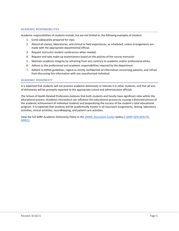#### ACADEMIC RESPONSIBILITIES

Academic responsibilities of students include, but are not limited to, the following examples of conduct:

- 1. Come adequately prepared for class.
- 2. Attend all classes, laboratories, and clinical or field experiences, as scheduled, unless arrangements are made with the appropriate departmental official.
- 3. Request instructor-student conferences when needed.
- 4. Request and take make-up examinations based on the policies of the course instructor.
- 5. Maintain academic integrity by refraining from acts contrary to academic and/or professional ethics.
- 6. Adhere to the professional and academic responsibilities required by the department.
- 7. Adhere to HIPAA guidelines, regard as strictly confidential all information concerning patients, and refrain from discussing this information with any unauthorized individual.

#### ACADEMIC DISHONESTY

It is expected that students will not practice academic dishonesty or tolerate it in other students, and that all acts of dishonesty will be promptly reported to the appropriate school and administrative officials.

The School of Health Related Professions believes that both students and faculty have significant roles within the educational process. Academic misconduct can influence this educational process by causing a distorted picture of the academic achievement of individual students and jeopardizing the success of the student's total educational program. It is expected that students will be academically honest in all classroom assignments, testing, laboratory activities, clinical activities, recordkeeping, and patient care activities.

View the full SHRP Academic Dishonesty Policy in th[e UMMC Document Center](https://documents.umc.edu/) (policy [E-SHRP-GEN-GEN-PO-](http://www.umc.edu/policy/viewpolicy.aspx?pid=E-SHRP-GEN-GEN-PO-00001)[00001\).](http://www.umc.edu/policy/viewpolicy.aspx?pid=E-SHRP-GEN-GEN-PO-00001)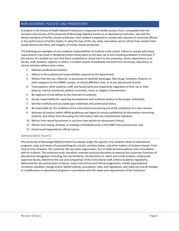#### <span id="page-7-0"></span>NON-ACADEMIC POLICIES AND PROCEDURES

A student in the School of Health Related Professions is expected to exhibit conduct that is compatible with the functions and mission of the University of Mississippi Medical Center as an educational institution, and with the ethical standards of his/her chosen profession. Each student is expected to comply with requests of university officials in the performance of his/her duties; to obey the laws of the city, state, and nation; and to refrain from conduct that would demean the ethics and integrity of his/her chosen profession.

The following are examples of non-academic responsibilities of students in the school. Failure to comply with these requirements may result in disciplinary action being taken by the dean up to and including probation or dismissal. If the actions of a student are such that there is potential or actual harm to the university, school, department or its faculty, staff, students, patients or others, a student may be immediately removed from classroom, laboratory, or clinical activities without prior notice.

- 1. Maintain professional conduct;
- 2. Adhere to the professional responsibilities required by the department;
- 3. Refrain from the use, influence, or possession of alcoholic beverages, illicit drugs, fireworks, firearms, or other weapons on the UMMC campus, at clinical affiliation sites, or at any educational activity;
- 4. Treat patients, other students, staff, and faculty fairly and respectfully, regardless of their sex or their physical, mental, emotional, political, economic, racial, or religious characteristics;
- 5. Be cognizant of and adhere to the channels of authority;
- 6. Accept responsibility for reporting incompetence and unethical conduct to the proper authorities;
- 7. Identify truthfully and accurately your credentials and professional status;
- 8. Be responsible for the condition of the instructional area during and at the completion of a class session;
- 9. Maintain all conduct within HIPAA guidelines and regard as strictly confidential all information concerning patients, and refrain from discussing thisinformation with any unauthorized individual;
- 10. Refrain from sexual harassment in any form (see section on Harassment Policy);
- 11. Refrain from eating, drinking, orsmoking in prohibited areas in the SHRP instructional areas; and
- 12. Check email frequently for official notices.

#### MANAGEMENT RIGHTS

The University of Mississippi Medical Center has always sought the opinion of its students about its educational programs, ways and means of accomplishing the school's activities better, and other matters of student interest. From time to time, however, the university, like any other organization, hasto make decisions without prior consultation with its students. The university must, therefore, maintain exclusive discretion to exercise the customary functions of educational management including, but not limited to, the discretion to:select and enroll students, employ and supervise faculty, determine the size and composition of the instructional staff, enforce academic regulations, determine the size and location of classes, make instructional and clinical assignments, modify organizational structures, establish, change and/or abolish policies, procedures, rules, and regulations, and make any and all changes or modificationsin educational programsin accordance with the needs and requirements of the institution.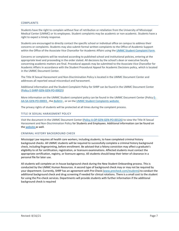#### COMPLAINTS

Students have the right to complain without fear of retribution or retaliation from the University of Mississippi Medical Center (UMMC) or its employees. Student complaints may be academic or non-academic. Students have a right to expect a timely response.

Students are encouraged to directly contact the specific school or individual office on campus to address their concerns or complaints. Students may also submit formal written complaints to the Office of Academic Support within the Office of the Associate Vice Chancellor for Academic Affairs using the [UMMC Student Complaint Form.](https://www.umc.edu/Office%20of%20Academic%20Affairs/For-Students/Student%20Affairs/Student-Complaints.html)

Concerns or complaints will be resolved according to published school and institutional policies, entering at the appropriate level and proceeding in the order stated. All decisions by the school's dean or executive faculty concerning academic matters are final. Procedural appeals may be submitted to the Associate Vice Chancellor for Academic Affairs in accordance with the Student Procedural Appeal for Academic Decisions policy, which is located in the UMMC Document Center.

The Title IX Sexual Harassment and Non-Discrimination Policy is located in the UMMC Document Center and addresses all reported sexual misconduct and harassment.

Additional information and the Student Complaint Policy for SHRP can be found in the UMMC Document Center (Policy [E-SHRP-GEN-GEN-PO-00025\)](https://www.umc.edu/policy/viewpolicy.aspx?pid=E-SHRP-GEN-GEN-PO-00025)

More information on the UMMC Student complaint policy can be found in the UMMC Document Center (Policy [E-](https://www.umc.edu/policy/viewpolicy.aspx?pid=E-AA-SA-GEN-PO-00003)[AA-SA-GEN-PO-00003](https://www.umc.edu/policy/viewpolicy.aspx?pid=E-AA-SA-GEN-PO-00003) , the *[Bulletin](http://www.umc.edu/bulletin)* , or on the UMMC [Student Complaints](https://www.umc.edu/Office%20of%20Academic%20Affairs/For-Students/Student%20Affairs/Student-Complaints.html) website

The privacy rights of students will be protected at all times during the complaint process.

#### TITLE IX SEXUAL HARASSMENT POLICY

Visit the document in the UMMC Document Center [\(Policy A-OP-GEN-GEN-PO-00126\)](https://www.umc.edu/policy/viewpolicy.aspx?pid=A-IP-GEN-GEN-PO-00126) to view the Title IX Sexual Harassment and Non-Discrimination Policy for Students and Employees. Additional information can be found on the [website](https://www.umc.edu/Office%20of%20Academic%20Affairs/For-Students/Student%20Affairs/Title-IX/Home.html) as well.

#### CRIMINAL HISTORY BACKGROUND CHECK

Mississippi Law requires all health care workers, including students, to have completed criminal history background checks. All UMMC students will be required to successfully complete a criminal history background check, including fingerprinting, before enrollment. Be advised that a felony conviction may affect a graduate's eligibility to sit for certification, registration, or licensure examinations. Affected students must contact the appropriate certification, registry, or licensure agency. All students should keep their letter of clearance in a personal file for later use.

All students will complete an in-house background check during the New Student Onboarding process. This is conducted by the UMMC Human Resources. A second type of background check may or may not be required by your department. Currently, SHRP has an agreement with Pre-Check [\(www.precheck.com/students\)](http://www.precheck.com/students) to conduct the additional background check and drug screening if needed for clinical rotations. There is a small cost to the student for using the Pre-check services. Departments will provide students with further information if the additional background check is required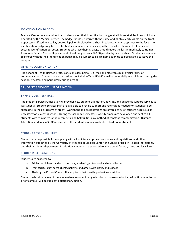#### IDENTIFICATION BADGES

Medical Center policy requires that students wear their identification badges at all times at all facilities which are operated by the Medical Center. The badge should be worn with the name and photo clearly visible on the front, upper torso affixed to a collar, pocket, lapel, or displayed on a short break-away neck strap close to the face. The identification badge may be used for building access, check cashing in the bookstore, library checkouts, and security identification purposes. Students who lose their ID badge should report the loss immediately to Human Resources Service Center. Replacement of lost badges costs \$20.00 payable by cash or check. Students who come to school without their identification badge may be subject to disciplinary action up to being asked to leave the campus.

#### OFFICIAL COMMUNICATION

The School of Health Related Professions considers postal/U.S. mail and electronic mail official forms of communications. Students are expected to check their official UMMC email account daily at a minimum during the school semesters and periodically during breaks.

#### <span id="page-9-0"></span>STUDENT SERVICES INFORMATION

#### SHRP STUDENT SERVICES

The Student Services Office at SHRP provides new-student orientation, advising, and academic support services to its students. Student Services staff are available to provide support and referrals as needed for students to be successful in their programs of study. Workshops and presentations are offered to assist student acquire skills necessary for success is school. During the academic semesters, weekly emails are developed and sent to all students with reminders, announcements, and helpful tips as a method of constant communication. Distance Education students in SHRP receive all of the student services available to traditional students.

#### STUDENT RESPONSIBILITIES

Students are responsible for complying with all policies and procedures, rules and regulations, and other information published by the University of Mississippi Medical Center, the School of Health Related Professions, and their academic department. In addition, students are expected to abide by all federal, state, and local laws.

#### STUDENTS EXPECTATIONS

Students are expected to:

- a. Exhibit the highest standard of personal, academic, professional and ethical behavior.
- b. Treat faculty, staff, peers, clients, patients, and others with dignity and respect.
- c. Abide by the Code of Conduct that applies to their specific professional discipline.

Students who violate any of the above when involved in any school or school-related activity/function, whether on or off campus, will be subject to disciplinary action.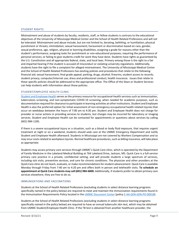#### STUDENT RIGHTS

Mistreatment and abuse of students by faculty, residents, staff, or fellow students is contrary to the educational objectives of the University of Mississippi Medical Center and the School of Health Related Professions and will not be tolerated. Mistreatment and abuse include, but are not limited to, berating, belittling, or humiliation; physical punishment or threats; intimidation; sexual harassment; harassment or discrimination based on race, gender, sexual preference, age, religion, physical or learning disabilities; assigning a grade for reasons other than the student's performance; assigning tasks for punishment or non-educational purposes; requiring the performance of personal services; or failing to give students credit for work they have done. Students have rights as guaranteed by the U.S. Constitution and all appropriate federal, state, and local laws. Primary among those is the right to a fair and impartial hearing if the student is accused of misconduct or violating university regulations. Additionally, students have the right to file a complaint for alleged mistreatment. The University of Mississippi Medical Center and the School of Health Related Professions has existing policies and procedures that relate to the following: financial aid; sexual harassment; final grade appeal; parking; drugs; alcohol; firearms; student access to records; student privacy; computer/internet use; dress and professional conduct; health insurance. Issues that relate to these specific policies should be addressed to the appropriate office. The Office of the Dean or Student Services can help students with information about those policies.

#### STUDENT/EMPLOYEE HEALTH CLINIC

[Student and Employee Health](http://www.umc.edu/employee_student_health/) serves as the primary resource for occupational-health services such as immunization, tuberculosis screening, and non-symptomatic COVID-19 screening, when needed for academic purposes, such as documentation required for clearance to participate in learning activities at other institutions. Student and Employee Health is also the preferred option for initial assessment of non-emergency occupational health related injuries that occur on weekdays between the hours of 7:00 am to 4:30 pm. Student and Employee Health does not charge for provider or nurse actions in providing services to students, but charges may be incurred for laboratory or imaging services. Student and Employee Health can be contacted for appointments or questions about services by calling (601) 984-1185.

If there is a severe occupational injury or a situation, such as a blood or body fluid exposure, that requires urgent treatment at night or on a weekend, students should seek care at the UMMC Emergency Department and notify Student and Employee Health afterward. Students in Mississippi are not covered by Workers Compensation and so may incur costs related to workplace injuries. Normal healthcare procedures, such as billing insurance, will take place as appropriate.

Students may access primary care services through UMMC's Quick Care clinic, which is operated by the Department of Family Medicine in the Lakeland Medical Building at 764 Lakeland Drive, Jackson, MS. Quick Care is a full-service primary care practice in a private, confidential setting, and will provide students a large spectrum of services, including sick visits, preventive services, and care for chronic conditions. The physician and other providers at the Quick Care clinic do not teach, evaluate, or make recommendations for student advancement. Quick Care is available Monday through Friday from 7:40 am to 4:20 pm and offers both in person and telehealth visits. **To schedule an appointment at Quick Care students may call (601) 984-6800.** Additionally, if students prefer to obtain primary care services elsewhere, they are free to do so.

#### IMMUNIZATIONS AND VACCINATIONS

Students at the School of Health Related Professions (excluding students in select distance learning programs specifically named in the policy below) are required to meet and maintain the immunization requirements found in the Immunization Requirements Policy located in the [UMMC Document Center](https://documents.umc.edu/) (polic[y E-AA-GEN-GEN-PO-00018\)](https://www.umc.edu/policy/viewpolicy.aspx?pid=E-AA-GEN-GEN-PO-00018).

Students at the School of Health Related Professions (excluding students in select distance learning programs specifically named in the policy below) are required to have an annual tuberculin skin test, which may be obtained from UMMC Student/Employee Health Clinic. If the TB test is obtained from another healthcare provider, the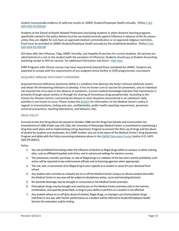student must provide evidence of valid test results to UMMC Student/Employee Health annually. (Policy [E-AA-](https://www.umc.edu/policy/viewpolicy.aspx?pid=E-AA-GEN-GEN-PO-00016)[GEN-GEN-PO-00016\)](https://www.umc.edu/policy/viewpolicy.aspx?pid=E-AA-GEN-GEN-PO-00016)

Students at the School of Health Related Professions (excluding students in select distance learning programs specifically named in the policy below) must be vaccinated annually against influenza in advance of the flu season unless they are eligible for and have an approved medical contraindication or an approved religious restriction. Proof must be provided to UMMC Student/Employee Health annually by the established deadline. (Policy [E-AA-](https://www.umc.edu/policy/viewpolicy.aspx?pid=E-AA-GEN-GEN-PO-00018)[GEN-GEN-PO-00018\)](https://www.umc.edu/policy/viewpolicy.aspx?pid=E-AA-GEN-GEN-PO-00018)

SEH does offer the Influenza, Tdap, MMR, Varicella, and Hepatitis B vaccines for current students. All vaccines are administered at a cost to the student (with the exception of Influenza). Students should pay at Student Accounting and bring receipt to SEH for vaccine. For additional information and forms – [Click Here.](https://www.umc.edu/HR/Current-Employees/Employee-Relations/Student-and-Employee-Health.html)

SHRP Programs with clinical courses may have requirements beyond those mandated by UMMC. Students are expected to comply with the requirements of any assigned clinical facility to fulfill programmatic coursework.

#### ACQUIRED IMMUNE DEFICIENCY SYNDROME

Acquired Immune Deficiency Syndrome (AIDS) is a condition that destroys the body's immune (defense) system and allows life-threatening infections to develop. It has no known cure or vaccine for prevention, and an individual can transmit the virus even in the absence of symptoms. Current medical knowledge indicates that transmission is primarily through sexual contact or through the sharing of intravenous drug paraphernalia. According to the Centers for Disease Control, contracting the disease in most situations encountered in an individual's daily activities is not known to occur. Please review the *[Bulletin](http://www.umc.edu/bulletin)* for information on the Medical Center's policy in regards to immunizations, testing and care, confidentiality, public health reporting requirement, personnel, universal precautions, teaching laboratories, and behavior risks.

#### DRUG POLICY

Pursuant to the Anti-Drug Abuse Act passed in October 1988 and the Drug-Free Schools and Communities Act Amendments of 1989 (Public Law 101-226), the University of Mississippi Medical Center is committed to maintaining a drug-free work place and to implementing a Drug Awareness Program to prevent the illicit use of drugs and the abuse of alcohol by students and employees. As a SHRP student, you are to be aware of the Medical Center's Drug Awareness Program and abide with the Policy concerning substance abuse in the [UMMC Document Center](https://documents.umc.edu/) (policy H-CL-SAFE-GEN-PR-00041).

Policy:

- 1. You are prohibited from being under the influence of alcohol or illegal drugs while on campus, in other training sites, such as affiliated hospitals and clinics, and in extramural settings for elective courses.
- 2. The possession, transfer, purchase, or sale of illegal drugs is a violation of the law and is strictly prohibited; such action will be reported to law enforcement officials and to licensing agencies when appropriate.
- 3. The use, sale, or possession of an illegal drug in your capacity as a student is cause for your dismissal from school.
- 4. Any student who commits an unlawful act on or off the Medical Center campus or whose conduct discredits the Medical Center in any way will be subject to disciplinary action, up to and including dismissal.
- 5. No alcoholic beverage may be brought or consumed on the Medical Center premises.
- 6. Prescription drugs may be brought and used by you on the Medical Center premises only in the manner, combination, and quantity prescribed, as long as your ability to perform as a student is not affected.
- 7. Any student whose on or off duty abuse of alcohol, illegal drugs, or improper use of prescription drugs interferes in any way with his/her performance as a student will be referred to Student/Employee Health Services for evaluation and/or testing.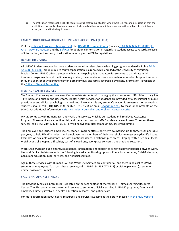8. The institution reserves the right to require a drug test from a student when there is a reasonable suspicion that the institution's drug policy has been violated. Individuals failing to submit to a drug test will be subject to disciplinary action, up to and including dismissal.

#### FAMILY EDUCATIONAL RIGHTS AND PRIVACY ACT OF 1974 (FERPA)

Visit the [Office of Enrollment Management,](http://www.umc.edu/registrar) the [UMMC Document Center](https://documents.umc.edu/) (policies [E-AA-GEN-GEN-PO-00011;](https://www.umc.edu/policy/viewpolicy.aspx?pid=E-AA-GEN-GEN-PO-00011) [E-](https://www.umc.edu/policy/viewpolicy.aspx?pid=E-AA-SA-ADM-PO-00002)[AA-SA-ADM-PO-00002\)](https://www.umc.edu/policy/viewpolicy.aspx?pid=E-AA-SA-ADM-PO-00002), and the *[Bulletin](http://www.umc.edu/bulletin)* for additional information in regards to student access to records, release of information, and accuracy of education records per the FERPA regulations.

#### HEALTH INSURANCE

All UMMC Students (except for those students enrolled in select distance learning programs outlined in Polic[y E-AA-](https://www.umc.edu/policy/viewpolicy.aspx?pid=E-AA-SA-GEN-PO-00006)[SA-GEN-PO-00006\)](https://www.umc.edu/policy/viewpolicy.aspx?pid=E-AA-SA-GEN-PO-00006) are required to carry hospitalization insurance while enrolled at the University of Mississippi Medical Center. UMMC offers a group health insurance policy. It is mandatory forstudentsto participate in this insurance program unless, at the time of registration, they can demonstrate adequate or equivalent hospital insurance through a sponsor or with another carrier. Both individual and family coverage is available. Information is available at the Office of Student [Accounting.](https://www.umc.edu/student_accounting/)

#### MENTAL HEALTH SERVICES

The Student Counseling and Wellness Center assists students with managing the stresses and difficulties of daily life – life inside and outside the classroom. Mental health services for students are provided by a psychiatrist or nurse practitioner and clinical psychologists who do not have any role any student's academic assessment or evaluation. Students should call (601) 815-1136 or (601) 815-5588 or email [scwc@umc.edu](mailto:scwc@umc.edu) to make appointments at the SCWC. For additional information[, visit the Student Counseling and Wellness Center website](https://www.umc.edu/Office%20of%20Academic%20Affairs/For-Students/Student%20Affairs/Student%20Counseling%20and%20Wellness%20Center.html)

UMMC contracts with Humana EAP and Work-Life Services, which is our Student and Employee Assistance Program. These services are confidential, and there is no cost to UMMC students or employees. To access these services, call 1-866-219-1232 (TTY:711) or visit eapwl.com (username: ummc, password: ummc).

The Employee and Student Employee Assistance Program offers short-term counseling, up to three visits per issue per year, to help UMMC students and employees and members of their households manage everyday life issues. Examples of available assistance include: Emotional issues, Relationship concerns, Coping with a serious illness, Weight control, Sleeping difficulties, Loss of a loved one, Workplace concerns, and Smoking cessation.

Work-Life Services include extensive assistance, information, and support to achieve a better balance between work, life, and family. Assistance with the following is available: Housing options, Educational services, Child/Elder care, Consumer education, Legal services, and financial services.

Again, these services with Humana EAP and Work-Life Services are confidential, and there is no cost to UMMC students or employees. To access these services, call 1-866-219-1232 (TTY:711) or visit eapwl.com (username: ummc, password: ummc).

#### ROWLAND MEDICAL LIBRARY

The Rowland Medical Library (RML) is located on the second floor of the Verner S. Holmes Learning Resource Center. The RML provides resources and services to students officially enrolled in UMMC programs, faculty and employees directly involved in health education, research, and patient care.

For more information about hours, resources, and services available at the library, pleas[e visit the RML website.](https://www.umc.edu/library/Library.html)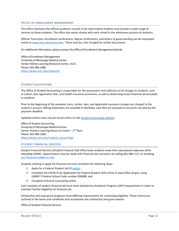#### OFFICE OF ENROLLMENT MANAGEMENT

This office maintains the official academic records of all matriculated students and provides a wide range of services to those students. The office also works closely with each school in the admissions process of students.

Official Transcripts, enrollment verifications, degree verifications, and letters of good standing can be requested online at [www.umc.edu/transcripts.](http://www.umc.edu/transcripts) There may be a fee charged for certain documents.

For additional information, please contact the Office of Enrollment Management directly.

Office of Enrollment Management University of Mississippi Medical Center Verner Holmes Learning Resource Center, U121 Phone: 601-984-1080 <https://www.umc.edu/registrar/>

#### STUDENT ACCOUNTING

The Office of Student Accounting is responsible for the assessment and collection of all charges to students, such as tuition, late registration fees, and health insurance premiums, as well as disbursing excess financial aid proceeds to students.

Prior to the beginning of the academic term, tuition, fees, and applicable insurance charges are charged to the student's account. Billing statements are available in Workday. Late fees are assessed to accounts not paid by the payment deadline.

Updated tuition costs may be found online on th[e Student Accounting website.](https://www.umc.edu/Office%20of%20Academic%20Affairs/For-Students/Student%20Affairs/Student%20Accounting%20and%20Insurance/Student%20Accounting%20and%20Insurance.html) 

Office of Student Accounting University of Mississippi Medical Center Verner Holmes Learning Resource Center –  $2<sup>nd</sup>$  floor Phone: 601-984-1060 [https://www.umc.edu/student\\_accounting/](https://www.umc.edu/student_accounting/)

#### STUDENT FINANCIAL SERVICES

Student Financial Services (Student Financial Aid) office helps students meet their educational expenses while attending UMMC. Appointments may be made with financial aid counselors by calling 601-984-1117 or emailing [acct-financial-aid@umc.edu.](mailto:acct-financial-aid@umc.edu)

Students wishing to apply for financial aid must complete the following steps:

- 1. Apply for a Federal Student Aid ID [online](https://studentaid.gov/fsa-id/create-account/launch);
- 2. Complete the FAFSA (Free Application for Federal Student Aid) online a[t www.fafsa.ed.gov,](http://www.fafsa.ed.gov/) using UMMC'S Federal School Code number 004688; and
- 3. Complete Entrance Counseling [online.](https://www.umc.edu/Administration/Administrative_Services/Comptroller/Student_Financial_Aid/OnLine_Loan_Entrance_Counseling.aspx)

Each recipient of student financial aid must meet Satisfactory Academic Progress (SAP) requirements in order to maintain his/her eligibility for financial aid.

Scholarship and state grant programs have differing requirements for continuing eligibility. These criteria are outlined in the terms and conditions that accompany the scholarship and grant awards.

Office of Student Financial Services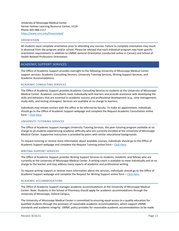University of Mississippi Medical Center Verner Holmes Learning Resource Center, U124 Phone: 601-984-1117 <https://www.umc.edu/financialaid/>

#### ORIENTATION

All students must complete orientation prior to attending any courses. Failure to complete orientation may result in dismissal from the program and/or school. Please be advised that each individual program may have specific orientation requirements in addition to UMMC General Orientation (conducted online in Canvas) and School of Health Related Professions Orientation.

#### <span id="page-14-0"></span>ACADEMIC SUPPORT SERVICES

The Office of Academic Support provides oversight to the following University of Mississippi Medical Center support services: Academic Consulting Services, University Tutoring Services, Writing Support Services, and Academic Accommodations.

#### ACADEMIC CONSULTING SERVICES

The Office of Academic Support provides Academic Consulting Services to students at the University of Mississippi Medical Center. Academic consultants meet individually with learners and provide assistance with developing the skills and behaviors that are essential to academic success and professional development (e.g., time management, study skills, and testing strategies). Services are available at no charge to learners.

Individuals may initiate contact with the office or be referred by faculty. To make an appointment, individuals should go to the Office of Academic Support webpage and complete the Request Academic Consultation online form – [Click Here.](https://www.umc.edu/Office%20of%20Academic%20Affairs/For-Students/Academic%20Support/Academic%20Consulting%20Services.html)

#### UNIVERSITY TUTORING SERVICES

The Office of Academic Support manages University Tutoring Services, the peer-tutoring program available at no charge to all students experiencing academic difficulty who are currently enrolled at the University of Mississippi Medical Center. Supportive instruction is provided by peers with similar educational backgrounds.

To request tutoring or receive more information about available courses, individuals should go to the Office of Academic Support webpage and complete the Request Tutoring online form – [Click Here.](https://www.umc.edu/Office%20of%20Academic%20Affairs/For-Students/Academic%20Support/University%20Tutoring%20Services1.html)

#### WRITING SUPPORT SERVICES

The Office of Academic Support provides Writing Support Services to students, residents, and fellows who are currently at the University of Mississippi Medical Center. A writing coach is available to meet individually and at no charge to the learner and may address many aspects of academic and professional writing.

To request writing support or receive more information about the services, individuals should go to the Office of Academic Support webpage and complete the Request for Writing Support online form - [Click Here.](https://www.umc.edu/Office%20of%20Academic%20Affairs/For-Students/Academic%20Support/Writing-Support-Services.html)

#### ACADEMIC ACCOMMODATIONS

The Office of Academic Support manages academic accommodations at the University of Mississippi Medical Center. Note: Students in the School of Pharmacy should apply for academic accommodations through the University of Mississippi, Oxford Campus.

The University of Mississippi Medical Center is committed to ensuring equal access to a quality education for qualified students through the provision of reasonable academic accommodations, which support UMMC standards and academic integrity. UMMC policy provides for reasonable academic accommodations to be made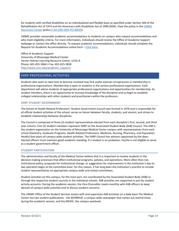for students with verified disabilities on an individualized and flexible basis as specified under Section 504 of the Rehabilitation Act of 1973 and the Americans with Disabilities Act of 1990 (ADA). View the policy in the [UMMC](https://documents.umc.edu/)  [Document Center](https://documents.umc.edu/) (polic[y E-AA-GEN-GEN-PO-00035\)](https://www.umc.edu/policy/viewpolicy.aspx?pid=E-AA-GEN-GEN-PO-00035).

UMMC provides reasonable academic accommodations to students on campus who request accommodations and who meet eligibility criteria. For more information, individuals should review the Office of Academic Support webpage or contact the office directly. To request academic accommodations, individuals should complete the Request for Academic Accommodations online form – [Click Here.](https://www.umc.edu/Office%20of%20Academic%20Affairs/For-Students/Academic%20Support/Academic%20Accommodations1.html)

Office of Academic Support University of Mississippi Medical Center Verner Holmes Learning Resource Center, U155-A Phone: 601-815-5064 • Fax: 601-815-5828 [http://www.umc.edu/academic\\_support/](http://www.umc.edu/academic_support/)

#### <span id="page-15-0"></span>SHRP PROFESSIONAL ACTIVITIES

Students who want to take time to become involved may find useful avenues of expression in membership in professional organizations. Membership is open to students in the various professional organizations. Each department will advise students of appropriate professional organizations and opportunities for membership. As student members, there is an opportunity to increase knowledge of the discipline and to begin to establish collegial relationships with other students and practitioners within the profession.

#### SHRP STUDENT GOVERNMENT

The School of Health Related Professions' Student Government Council was formed in 1978 and is responsible for all official student activities of the school; serves as liaison between faculty, students, and alumni; and strives to establish relationships between disciplines.

The Council is composed of three (3) student representatives elected from each discipline's first, second, and third year cohorts. Five (5) student members represent SHRP on the Associated Student Body (ASB) Council. The ASB is the student organization on the University of Mississippi Medical Center campus with representatives from each school (Dentistry, Graduate Programs, Health Related Professions, Medicine, Nursing, Pharmacy, and Population Health) that plans all campus-wide student activities. The SHRP Council has advisors appointed by the dean. Elected officers must maintain good academic standing. If a student is on probation, he/she is not eligible to serve as a student government officer.

#### STUDENT PARTICIPATION

The administration and faculty of the Medical Center believe that it is important to involve students in the decision-making processes that affect institutional programs, policies, and operations. More often than not, institutional policy, proposals for institutional change, or suggestions for improvement in the institution's day-today operation begin at the committee level. For this reason, it has long been the institution's practice to include student representatives on appropriate campus-wide and school committees.

Student activities on this campus, for the most part, are coordinated by the Associated Student Body (ASB) or through the respective student councils in the individual schools. ASB activities are supported in part by student activity accounts. During the academic session, the Vice-Chancellor meets monthly with ASB officers to keep abreast of campus-wide activities and to discuss student concerns.

The UMMC Office of the Student Services assists with and supervises ASB activities on a daily basis The Medical Center has two student publications - the MURMUR, a campus-wide newspaper that comes out several times during the academic session, and the MEDIC, the campus yearbook.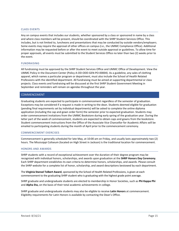#### CLASS EVENTS

Any on campus events that includes our students, whether sponsored by a class or sponsored in name by a class and where class members will be present, should be coordinated with the SHRP Student Services Office. This includes, but is not limited to, luncheons and presentations that may be conducted by outside vendors/employers. Some events may require the approval of other offices on campus (i.e., the UMMC Compliance Office). Additional information may be requested before or after the event to meet outside approval or guidelines. To allow time for proper approvals, all events must be submitted to the Student Services Office no later than two (2) weeks prior to the event.

#### FUNDRAISING

All fundraising must be approved by the SHRP Student Services Office and UMMC Office of Development. View the UMMC Policy in the Document Center (Policy A-OD-ODD-GEN-PO-00004). As a guideline, any sales of clothing apparel, which names a particular program or department, must also include the School of Health Related Professions with the identified department. All fundraising must be aimed at supporting departmental or class projects. Class events and fundraising will be discussed at the first SHRP Student Government Meeting in September and reminders will remain on agendas throughout the year.

#### <span id="page-16-0"></span>COMMENCEMENT

Graduating students are expected to participate in commencement regardless of the semester of graduation. Exceptions may be considered if a request is made in writing to the dean. Students deemed eligible for graduation (pending final requirements set by individual departments) will be asked to complete the online diploma application (including the cap and gown order form) the semester prior to expected graduation. Students may order commencement invitations from the UMMC Bookstore during early spring of the graduation year. During the latter part of the week of commencement, students are expected to obtain caps and gowns from the bookstore. Student commencement instructions from the Office of the Associate Vice Chancellor for Academic Affairs will be emailed to participating students during the month of April prior to the commencement ceremony.

#### COMMENCEMENT EXERCISES

Commencement is generally scheduled for late May, at 10:00 am on Friday, and usually lasts approximately two (2) hours. The Mississippi Coliseum (located on High Street in Jackson) is the traditional location for commencement.

#### HONORS AND AWARDS

SHRP students with a record of exceptional achievement over the duration of their degree program may be recognized with individual honors, scholarships, and awards upon graduation at the **SHRP Honors Day Ceremony.** Each SHRP department establishes its own criteria to determine honors, scholarships, and awards. Please consult the SHRP website for a complete list of honor, scholarship, and award descriptions bestowed by each department.

The **Virginia Stansel Tolbert Award**, sponsored by the School of Health Related Professions, is given at each commencement to the graduating SHRP student who is graduating with the highest grade point average.

SHRP graduate and undergraduate students are elected to membership in Honor Societies, such as **Phi Kappa Phi** and **Alpha Eta,** on the basis of their total academic achievements in college.

SHRP graduate and undergraduate students may also be eligible to receive **Latin Honors** at commencement. Eligibility requirements for Latin Honors is available by contacting the Dean's Office.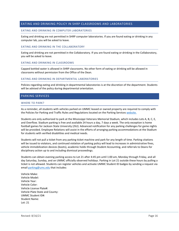#### <span id="page-17-0"></span>EATING AND DRINKING POLICY IN SHRP CLASSROOMS AND LABORATORIES

#### EATING AND DRINKING IN COMPUTER LABORATORIES

Eating and drinking are not permitted in SHRP computer laboratories. If you are found eating or drinking in any computer lab, you will be asked to leave.

#### EATING AND DRINKING IN THE COLLABORATORY

Eating and drinking are not permitted in the Collaboratory. If you are found eating or drinking in the Collaboratory, you will be asked to leave.

#### EATING AND DRINKING IN CLASSROOMS

Capped bottled water is allowed in SHRP classrooms. No other form of eating or drinking will be allowed in classrooms without permission from the Office of the Dean.

#### EATING AND DRINKING IN DEPARTMENTAL LABORATORIES

Policies regarding eating and drinking in departmental laboratories is at the discretion of the department. Students will be advised of the policy during departmental orientation.

#### <span id="page-17-1"></span>PARKING SERVICES

#### WHERE TO PARK?

As a reminder, all students with vehicles parked on UMMC leased or owned property are required to comply with the Policies for Parking and Traffic Rules and Regulations located on the Parking Services [website.](https://www.umc.edu/PHYSFAC/Resources.html)

Students are only authorized to park at the Mississippi Veterans Memorial Stadium, which includes Lots A, B, C, E, and Overflow. Stadium parking is free and available 24 hours a day, 7 days a week. The only exception is home football games for Jackson State University (JSU). Advanced notification for any parking challenges for game nights will be provided. Employee Relations will assist in the efforts of arranging parking accommodations at the Stadium for students with verified disabilities and medical needs.

Students will not pull a ticket from any parking ticket machine and park for any length of time. Parking citations will be issued to violators, and continued violation of parking policy will lead to increases in administrative fines, vehicle immobilization devices (boots), academic holds through Student Accounting, and referrals to Deans for disciplinary action up to and including dismissal proceedings.

Students can obtain evening parking access to Lot 21 after 4:45 pm until 1:00 am, Monday through Friday, and all day Saturday, Sunday, and on UMMC officially observed holidays. Parking in Lot 21 outside these hours by pulling a ticket is not allowed. Students can register vehicles and activate UMMC Student ID badges by sending a request via emai[l parking@umc.edu](mailto:parking@umc.edu) that includes:

Vehicle Make: Vehicle Model: Vehicle Year: Vehicle Color: Vehicle License Plate#: Vehicle Plate State and County: UMMC Student ID#: Student Name: Lot: 21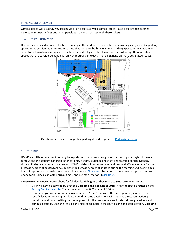#### PARKING ENFORCEMENT

Campus police will issue UMMC parking violation tickets as well as official State issued tickets when deemed necessary. Monetary fines and other penalties may be associated with these tickets.

#### STADIUM PARKING MAP

Due to the increased number of vehicles parking in the stadium, a map is shown below displaying available parking spaces in the stadium. It is important to note that there are both regular and handicap spaces in the stadium. In order to park in a handicap space, the vehicle must display an official handicap placard or tag. There are also spaces that are considered handicap, only on football game days. There is signage on these designated spaces.



Questions and concerns regarding parking should be posed to [Parking@umc.edu.](mailto:Parking@umc.edu)

#### SHUTTLE BUS

UMMC's shuttle service provides daily transportation to and from designated shuttle stops throughout the main campus and the stadium parking lots for patients, visitors, students, and staff. The shuttle operates Monday through Friday, and does not operate on UMMC holidays. In order to provide timely and efficient service for the greatest number of passengers, we operate the highest number of shuttles during the morning and evening peak hours. Maps for each shuttle route are available online [\(Click Here\)](https://www.umc.edu/PHYSFAC/Parking/Shuttle-Service.html). Students can download an app on their cell phone for bus lines, estimated arrival times, and bus stop locations [\(Click Here\)](http://ummcpublic.etaspot.net/).

Please view the website noted above for full details. Highlights as they relate to SHRP are shown below.

- SHRP will now be serviced by both the **Gold Line and Red Line shuttles**. View the specific routes on the [Parking Services website.](https://www.umc.edu/PHYSFAC/Parking/Shuttle-Service.html) These routes run from 6:00 am until 6:00 pm.
- If possible, you will want to park in a designated "zone" and catch the corresponding shuttle to the specific locations on campus. Please note that some destinations will not have direct connections; therefore, additional walking may be required. Shuttle bus shelters are located at designated lots and campus locations. Each shelter is clearly marked to indicate the shuttle zone and stop location. **Gold Line**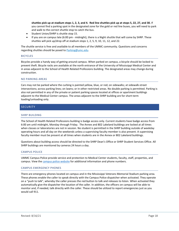**shuttles pick up at stadium stops 1, 2, 3, and 4. Red line shuttles pick up at stops 5, 22, 27, and 30.** If you cannot find a parking spot in the designated zone for the gold or red line buses, you will need to park and walk to the correct shuttle stop to catch the bus.

- Student Union/SHRP is shuttle stop 15.
- If you are on campus late (6:00 pm midnight), there is a Night shuttle that will come by SHRP. These shuttles will pick up/drop off at stadium stops 1, 2, 5, 9, 10, 11, 12, and 22.

The shuttle service is free and available to all members of the UMMC community. Questions and concerns regarding shuttles should be posed t[o Parking@umc.edu.](mailto:Parking@umc.edu)

#### BICYCLES

Bicycles provide a handy way of getting around campus. When parked on campus, a bicycle should be locked to prevent theft. Bicycle racks are available at the north entrance of the University of Mississippi Medical Center and in areas adjacent to the School of Health Related Professions building. The designated areas may change during construction.

#### NO PARKING AREAS

Cars may not be parked where the curbing is painted yellow, blue, or red; on sidewalks; at sidewalk-street intersections; across parking lines; on lawns; or in other restricted areas. No double parking is permitted. Parking is also not permitted in any of the private or patient parking spaces located at offices or apartment buildings adjacent to the Medical Center campus. The areas adjacent to the SHRP building are for short-term loading/unloading only.

#### <span id="page-19-0"></span>**SECURITY**

#### SHRP BUILDING

The School of Health Related Professions building is badge access only. Current students have badge access from 6:00 am until midnight, Monday through Friday. The Annex and 802 Lakeland buildings are locked at all times when classes or laboratories are not in session. No student is permitted in the SHRP building outside of weekday operating hours and all day on the weekends unless a supervising faculty member is also present. A supervising faculty member must be present at all times when students are in the Annex or 802 Lakeland buildings.

Questions about building access should be directed to the SHRP Dean's Office or SHRP Student Services Office. All SHRP buildings are monitored by cameras 24 hours a day.

#### CAMPUS POLICE

UMMC [Campus Police](https://www.umc.edu/police/) provide service and protection to Medical Center students, faculty, staff, properties, and campus. View th[e campus police website](https://www.umc.edu/UMMC/Campus-Police-and-Security/Campus-Police-and-Security-Home.html) for additional information and phone numbers.

#### CAMPUS EMERGENCY PHONES

There are emergency phones located on campus and in the Mississippi Veterans Memorial Stadium parking area. These phones enable the caller to speak directly with the Campus Police dispatcher when activated. They operate on a "push to talk", whereby the caller presses the red button to talk and releases to listen. When activated they automatically give the dispatcher the location of the caller. In addition, the officers on campus will be able to monitor and, if needed, talk directly with the caller. These should be utilized to report emergencies just as you would call 911.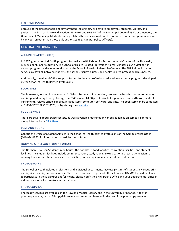#### FIREARMS POLICY

Because of the unreasonable and unwarranted risk of injury or death to employees, students, visitors, and patients, and in accordance with sections 45-9-101 and 97-37-17 of the Mississippi Code of 1972, as amended, the University of Mississippi Medical Center prohibits the possession of pistols, firearms, or other weapons in any form by any person other than those duly authorized (i.e., Campus Police Officers).

#### <span id="page-20-0"></span>GENERAL INFORMATION

#### ALUMNI CHAPTER (SHRP)

In 1977, graduates of all SHRP programs formed a Health Related Professions Alumni Chapter of the University of Mississippi Alumni Association. The School of Health Related Professions Alumni Chapter plays a vital part in various programs and events conducted at the School of Health Related Professions. The SHRP alumni chapter serves as a key link between students, the school, faculty, alumni, and health related professional businesses.

Additionally, the Alumni Office supports forums for health professional education via special programs developed by the School of Health Related Professions.

#### BOOKSTORE

The bookstore, located in the Norman C. Nelson Student Union building, services the health sciences community and is open Monday through Friday, from 7:45 am until 4:30 pm. Available for purchases are textbooks, medical instruments, related school supplies, insignia items, computer, software, and gifts. The bookstore can be contacted at 1-800-BKSTORE (257-8673) or by visiting their [website.](https://ummc.secureweblogin.com/)

#### FOOD SERVICE

There are several food service centers, as well as vending machines, in various buildings on campus. For more dining information - [Click Here.](https://www.umc.edu/Healthcare/Patients-and-Visitors/Dining%20and%20Menus.html)

#### LOST AND FOUND

Contact the Office of Student Services in the School of Health Related Professions or the Campus Police Office (601-984-1360) for information on articles lost or found.

#### NORMAN C. NELSON STUDENT UNION

The Norman C. Nelson Student Union houses the bookstore, food facilities, convention facilities, and student facilities. The student facilities include conference room, study rooms, TV/recreational areas, a gymnasium, a running track, an aerobics room, exercise facilities, and an equipment check-out and locker room.

#### PHOTOGRAPHS

The School of Health Related Professions and individual departments may use pictures of students in various print media, video media, and social media. These items are used to promote the school and UMMC. If you do not wish to participate in these pictures and/or media, please notify the SHRP Dean's Office and your departmental office in writing or via email to revoke your permission.

#### PHOTOCOPYING

Photocopy services are available in the Rowland Medical Library and in the University Print Shop. A fee for photocopying may occur. All copyright regulations must be observed in the use of the photocopy services.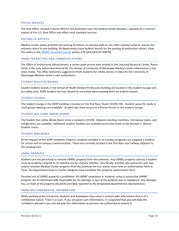#### POSTAL SERVICES

The Post Office, located in Room N019 in the basement near the medical school elevators, operates as a contract station of the U.S. Post Office and offers most standard services.

#### POSTING OF NOTICES

Medical Center policy prohibits the posting of notices on painted walls or any other painted surfaces, and on the entrance doors to any building. All departments have bulletin boards for the posting of authorized notices. View this policy in the [UMMC Document Center](https://documents.umc.edu/) (policy A-IP-GEN-GEN-PO-00070).

#### UMMC MARKETING AND COMMUNICATIONS

The Office of Institutional Advancement, a center-wide service area located in the Learning Resource Center, Room U015, is the only authorized channel for the release of University of Mississippi Medical Center information to the news media. The office welcomes suggestions from students for media stories or ideas for the University of Mississippi Medical Center's own publications.

#### STUDENT BULLETIN BOARDS

Student bulletin boards in the School of Health Related Professions building are located in the student lounge and bus lobby area. SHRP Student Services should be consulted about posting items on bulletin boards.

#### STUDENT LOUNGE

The student lounge in the SHRP building is located on the first floor, Room SH195/196. Student space for study or small group meetings are available. Student also have access to a Pharos Printer in the student lounge.

#### STUDENT BUS LOBBY (BREAK ROOM)

The Student Bus Lobby (Break Room area) is located in SH190. Adjacent vending machines, microwave ovens, and refrigerators are available. Additional student facilities are available across the street in the Norman C. Nelson Student Union.

#### STUDENT MAILBOXES

At the request of the SHRP Academic Program, students enrolled in on-campus programs are assigned a mailbox for school and on-campus communication. These are currently located in the first floor east hallway adjacent to the vending area.

#### UMMC PROPERTY

Students are not permitted to remove UMMC property from the premises. Any UMMC property used by a student must be properly assigned to or checked out by a faculty member. Any faculty member who possesses and uses and/or removes Medical Center property from the premises for any reason must have an authorization form in hand. The department head or his/her designee must complete the property authorization form.

*Personal use of UMMC property is prohibited. All UMMC employees or students using or possessing UMMC property can be held financially responsible for the damage or loss of the property due to negligence. Any damage, loss, or theft of the property should be promptly reported to the designated departmental representative.*

#### HANDLING CONFIDENTIAL INFORMATION

While working at the university, students and employees may come in contact with information that is of a confidential nature. Treat it as such. If you are given such information, it is expected that you will keep the confidence placed in you and not give this information to persons not authorized to receive it.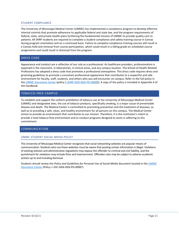#### STUDENT COMPLIANCE

The University of Mississippi Medical Center (UMMC) has implemented a compliance program to develop effective internal controls that promote adherence to applicable federal and state law, and the program requirements of federal, state, and private health plans furthering the fundamental mission of UMMC to provide quality care to patients. All SHRP students are required to complete a student compliance and safety-training course in Canvas during program orientation and on a continued basis. Failure to complete compliance training courses will result in a Canvas hold and removal from course participation, which could result in a failing grade on scheduled course assignments and could result in dismissal from the program.

#### <span id="page-22-0"></span>DRESS CODE

Appearance and conduct are a reflection of our role as a professional. As healthcare providers, professionalism is expected in the classroom, in laboratories, in clinical areas, and any campus location. The School of Health Related Professions has adopted a dress code that promotes a professional atmosphere. This dress code requires dress and grooming guidelines to promote a consistent professional appearance that contributes to a respectful and safe environment for faculty, staff, students, and others who you will encounter on campus. Refer to the full policy in the [UMMC Document Center](https://documents.umc.edu/) (polic[y E-SHRP-GEN-GEN-PO-00008\)](http://www.umc.edu/policy/viewpolicy.aspx?pid=E-SHRP-GEN-GEN-PO-00008). A copy of the policy is included in Appendix A of the handbook.

#### <span id="page-22-1"></span>TOBACCO-FREE CAMPUS

To establish and support the uniform prohibition of tobacco use at the University of Mississippi Medical Center (UMMC) and designated sites, the use of tobacco products, specifically smoking, is a major cause of preventable disease and death. The Medical Center is committed to promoting prevention and the treatment of diseases, as well as to providing a safe, clean, and healthy environment for all persons on this campus. The Medical Center strives to provide an environment that contributes to our mission. Therefore, it is this institution's intent to provide a total tobacco-free environment and to conduct programs designed to assist in adhering to this commitment.

#### <span id="page-22-2"></span>COMMUNICATION

#### UMMC STUDENT SOCIAL MEDIA POLICY

The University of Mississippi Medical Center recognizes that social networking websites are popular means of communication. Students who use these websites must be aware that posting certain information is illegal. Violations of existing statutes and administrative regulations may expose the offender to criminal and civil liability, and the punishment for violations may include fines and imprisonment. Offenders also may be subject to adverse academic actions up to and including dismissal.

Students should review the *Policy and Guidelines for Personal Use of Social Media* document located in the [UMMC](https://documents.umc.edu/search.aspx?q=social+media)  [Document](https://documents.umc.edu/search.aspx?q=social+media) Center (Policy A-OIC-GEN-GEN-PO-00007).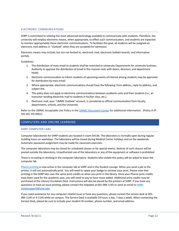#### ELECTRONIC COMMUNICATIONS

SHRP is committed to utilizing the most advanced technology available to communicate with students. Therefore, the university will employ electronic means, when appropriate, to effect such communication, and students are expected to monitor appropriately these electronic communications. To facilitate this goal, all students will be assigned an electronic mail address in "*Outlook*" when they are accepted for admission.

Electronic means may include, but are not limited to, electronic mail, electronic bulletin boards, and information portals.

Guidelines:

- 1. The distribution of mass email to students shall be restricted to University Departments for university business. Authority to approve the distribution of email in this manner rests with deans, directors, and department heads.
- 2. Electronic communication to inform students of upcoming events of interest among students may be approved for distribution by mass email.
- 3. Where appropriate, electronic communications should have the following: from address, reply-to-address, and subject line.
- 4. This policy does not apply to electronic communications between academic units and their students(i.e., an instructor sending electronic mail to students in his/her class, etc.).
- 5. Electronic mail, your "UMMC Outlook" account, is considered as official communication from faculty, departments, schools, and the University.

Refer to the UMMC Acceptable Use Policy in th[e UMMC Document Center](https://documents.umc.edu/) for additional information. (Policy A-IP-OIS-SEC-PO-0001)

#### <span id="page-23-0"></span>COMPUTERS AND ONLINE LEARNING

#### SHRP COMPUTER LABS

Computer laboratories for SHRP students are located in room SH136. The laboratory is normally open during regular building hours on weekdays. The laboratory will be closed during Medical Center holidays and on the weekends. Automatic password assignment may be made for classroom exercises.

The computer laboratory may be closed for scheduled classes or for special events. Notices of such closure will be posted outside the laboratory. Unauthorized use of the laboratory or any of the equipment or software is prohibited.

There is no eating or drinking in the computer laboratory. Students who violate this policy will be asked to leave the computer lab.

[Pharos printing](https://www.umc.edu/library/Access-Services/Help-FAQ/Print-From-Laptop.html) is now active in the computer lab at SHRP and in the Student Lounge. When you send a job to the printer, it will not automatically print. You will need to swipe your badge to retrieve your print. Please note that printing in the SHRP labs uses the same print credits as when you print in the library. Once your Pharos print credits have been used for the academic year, you will need to pay to have more added. Additional print credits may be purchased at the Library Circulation Desk. Instructions will also be placed by the printers at SHRP. If you have any questions or have an issue printing, please contact the helpdesk at 601-984-1145 or send an email t[o SHRP](mailto:SHRP-onsitesupport@umc.edu)[onsitesupport@umc.edu.](mailto:SHRP-onsitesupport@umc.edu)

If you need assistance for any computer related issue or have any questions, please contact the service desk at 601- 984-1145 or 4-1145 while on campus. The Service Desk is available 24 hours a day, 7 days a week. When contacting the Service Desk, please be sure to include your student ID number, phone number, and email address.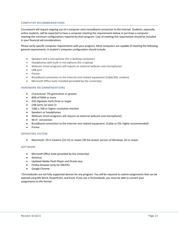#### COMPUTER RECOMMENDATIONS

Coursework will require ongoing use of a computer and a broadband connection to the Internet. Students, especially online students, will be expected to have a computer meeting the requirements below or purchase a computer meeting the minimum configurations required by their program. Cost of meeting this requirement should be included in your financial aid considerations.

Please verify specific computer requirements with your program. Most computers are capable of meeting the following general requirements. A student's computer configuration should include:

- Speakers and a microphone (for a desktop computer)
- Headphones with built-in microphone (for a laptop)
- Webcam (most programs will require an external webcam and microphone)
- USB port
- Printer
- Broadband connection to the Internet and related equipment (Cable/DSL modem)
- Microsoft Office Suite installed (provided by the university)

#### HARDWARE RECOMMENDATIONS

- I3 processor 7th generation or greater
- 8GB of RAM or more
- 256 Gigabyte Hard Drive or larger
- USB ports (at least 2)
- 1366 x 768 or higher resolution monitor
- Speakers or headphones
- Webcam (most programs will require an external webcam and microphone)
- Wi-Fi connection
- Broadband connection to the Internet and related equipment. (Cable or DSL highly recommended)
- **Printer**

#### OPERATING SYSTEM

• Macintosh: OS X Catalina (10.15) or newer OR the lastest version of Windows 10 or newer

#### SOFTWARE

- Microsoft Office Suite (provided by the University)
- Antivirus
- Updated Adobe Flash Player and Oracle Java
- Firefox browser (only for IDEATE)
- Google Chrome

Chromebooks are not fully supported devices for any program. You will be required to submit assignments that can be opened using MS Word, PowerPoint, and Excel. If you use a Chromebook, you must be able to convert your assignments to this format.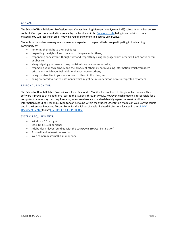#### CANVAS

The School of Health Related Professions uses Canvas Learning Management System (LMS) software to deliver course content. Once you are enrolled in a course by the faculty, visit th[e Canvas website](https://umc.instructure.com/) to log in and retrieve course material. You will receive an email notifying you of enrollment in a course using Canvas.

Students in the online learning environment are expected to respect all who are participating in the learning community by:

- honoring their right to their opinions;
- respecting the right of each person to disagree with others;
- responding honestly but thoughtfully and respectfully using language which others will not consider foul or abusive;
- always signing your name to any contribution you choose to make;
- respecting your own privacy and the privacy of others by not revealing information which you deem private and which you feel might embarrass you or others;
- being constructive in your responses to others in the class; and
- being prepared to clarify statements which might be misunderstood or misinterpreted by others.

#### RESPONDUS MONITOR

The School of Health Related Professions will use Respondus Monitor for proctored testing in online courses. This software is provided at no additional cost to the students through UMMC. However, each student is responsible for a computer that meets system requirements, an external webcam, and reliable high-speed internet. Additional information regarding Respondus Monitor can be found within the Student Orientation Module in your Canvas course and in the Remote Proctored Testing Policy for the School of Health Related Professions located in th[e UMMC](https://intranet.umc.edu/sites/Administration/business_services/DIS/Pages/IntranetDefault.aspx)  [Document Center](https://intranet.umc.edu/sites/Administration/business_services/DIS/Pages/IntranetDefault.aspx) (policy [E-SHRP-GEN-GEN-PO-00022\)](http://www.umc.edu/policy/viewpolicy.aspx?pid=E-SHRP-GEN-GEN-PO-00022).

#### SYSTEM REQUIREMENTS:

- Windows: 10 or higher
- Mac: OS X 10.10 or higher
- Adobe Flash Player (bundled with the LockDown Browser installation)
- A broadband internet connection
- Web camera (external) & microphone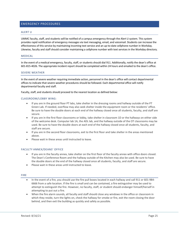#### <span id="page-26-0"></span>EMERGENCY PROCEDURES

#### ALERT U

UMMC faculty, staff, and students will be notified of a campus emergency through the Alert U system. This system provides rapid notification of emergency messages via text messaging, email, and voicemail. Students can increase the effectiveness of this service by maintaining incoming text service and an up-to-date cellphone number in Workday. Likewise, faculty and staff should consider maintaining a cellphone number with text services in the Workday directory.

#### MEDICAL

In the event of a medical emergency, faculty, staff, or students should dial 911. Additionally, notify the dean's office at 601-815-4026. The appropriate incident report should be completed within 24 hours and emailed to the dean's office.

#### SEVERE WEATHER

In the event of severe weather requiring immediate action, personnel in the dean's office will contact departmental offices to indicate that severe weather procedures should be followed. Each departmental office will notify departmental faculty and staff.

Faculty, staff, and students should proceed to the nearest location as defined below:

#### CLASSROOM/LOBBY WING:

- If you are in the ground floor PT labs, take shelter in the dressing rooms and hallway outside of the PT Green Lab. If needed, overflow may also seek shelter inside the equipment room or the residents' office. Be sure to have the double doors at each end of the hallway closed once all students, faculty, and staff are secure.
- If you are in the first floor classrooms or lobby, take shelter in classroom 1D or the hallways on either side of the welcome desk. Computer lab 1A, the ADL lab, and the hallway outside of the OT classrooms may be used. Be sure to have the double doors at each end of the hallway closed once all students, faculty, and staff are secure.
- If you are in the second floor classrooms, exit to the first floor and take shelter in the areas mentioned above.
- Please wait in these areas until instructed to leave.

#### FACULTY ANNEX/DEANS' OFFICE

- If you are in the faculty annex, take shelter on the first floor of the faculty annex with office doors closed. The Dean's Conference Room and the hallway outside of the Kitchen may also be used. Be sure to have the double doors at the end of the hallway closed once all students, faculty, and staff are secure.
- Please wait in these areas until instructed to leave.

#### FIRE

- In the event of a fire, you should use the fire pull boxes located in each hallway and call 911 or 601-984- 6666 from a safe location. If the fire is small and can be contained, a fire extinguisher may be used to attempt to extinguish the fire. However, no faculty, staff, or student should endanger himself/herself in attempting to put out a fire.
- When the fire alarm sounds, all faculty and staff should close any windows in the office or classroom in which they reside, turn the lights on, check the hallway for smoke or fire, exit the room closing the door behind, and then exit the building as quickly and safely as possible.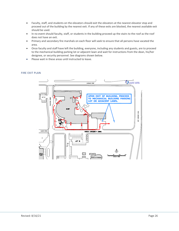- Faculty, staff, and students on the elevators should exit the elevators at the nearest elevator stop and proceed out of the building by the nearest exit. If any of these exits are blocked, the nearest available exit should be used.
- In no event should faculty, staff, or students in the building proceed up the stairs to the roof as the roof does not have an exit.
- Primary and secondary fire marshals on each floor will seek to ensure that all persons have vacated the area.
- Once faculty and staff have left the building, everyone, including any students and guests, are to proceed to the mechanical building parking lot or adjacent lawn and wait for instructions from the dean, his/her designee, or security personnel. See diagrams shown below.
- Please wait in these areas until instructed to leave.

# na osnatev se setetim<br>MEDICAL CENTER ℿ⊫ **UPON EXIT OF BUILDING, PROCEED** Lot a TO MECHANICAL BUILDING PARKING Ш LOT OR ADJACENT LAWN. ă NNERSITY š ALMN DRNE NORTH UNIVERSITY DRIVE LOT 12

#### FIRE EXIT PLAN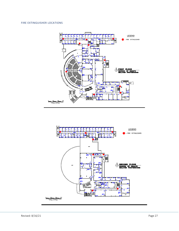### FIRE EXTINGUISHER LOCATIONS



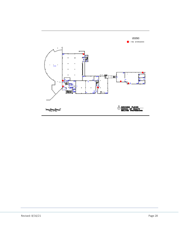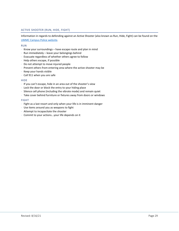#### ACTIVE SHOOTER (RUN, HIDE, FIGHT)

Information in regards to defending against an Active Shooter (also known as Run, Hide, Fight) can be found on the [UMMC Campus Police website.](https://www.umc.edu/UMMC/Campus-Police-and-Security/Campus-Police-and-Security-Home.html) 

#### RUN

- ⋅ Know your surroundings have escape route and plan in mind
- ⋅ Run immediately leave your belongings behind
- ⋅ Evacuate regardless of whether others agree to follow
- ⋅ Help others escape, if possible
- ⋅ Do not attempt to move injured people
- ⋅ Prevent others from entering area where the active shooter may be
- ⋅ Keep your hands visible
- ⋅ Call 911 when you are safe

#### **HIDE**

- ⋅ If you can't escape, hide in an area out of the shooter's view
- ⋅ Lock the door or block the entry to your hiding place
- ⋅ Silence cell phone (including the vibrate mode) and remain quiet
- ⋅ Take cover behind furniture or fixtures away from doors or windows

#### FIGHT

- ⋅ Fight as a last resort and only when your life is in imminent danger
- ⋅ Use items around you as weapons to fight
- ⋅ Attempt to incapacitate the shooter
- ⋅ Commit to your actions...your life depends on it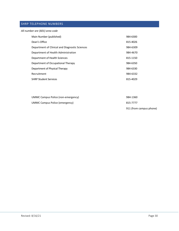## <span id="page-31-0"></span>SHRP TELEPHONE NUMBERS

| All number are (601) area code |
|--------------------------------|
|--------------------------------|

| Main Number (published)                        | 984-6300 |
|------------------------------------------------|----------|
| Dean's Office                                  | 815-4026 |
| Department of Clinical and Diagnostic Sciences | 984-6309 |
| Department of Health Administration            | 984-4670 |
| Department of Health Sciences                  | 815-1150 |
| Department of Occupational Therapy             | 984-6350 |
| Department of Physical Therapy                 | 984-6330 |
| Recruitment                                    | 984-6332 |
| <b>SHRP Student Services</b>                   | 815-4029 |

| UMMC Campus Police (non-emergency) | 984-1360                |
|------------------------------------|-------------------------|
| UMMC Campus Police (emergency)     | 815-7777                |
|                                    | 911 (from campus phone) |